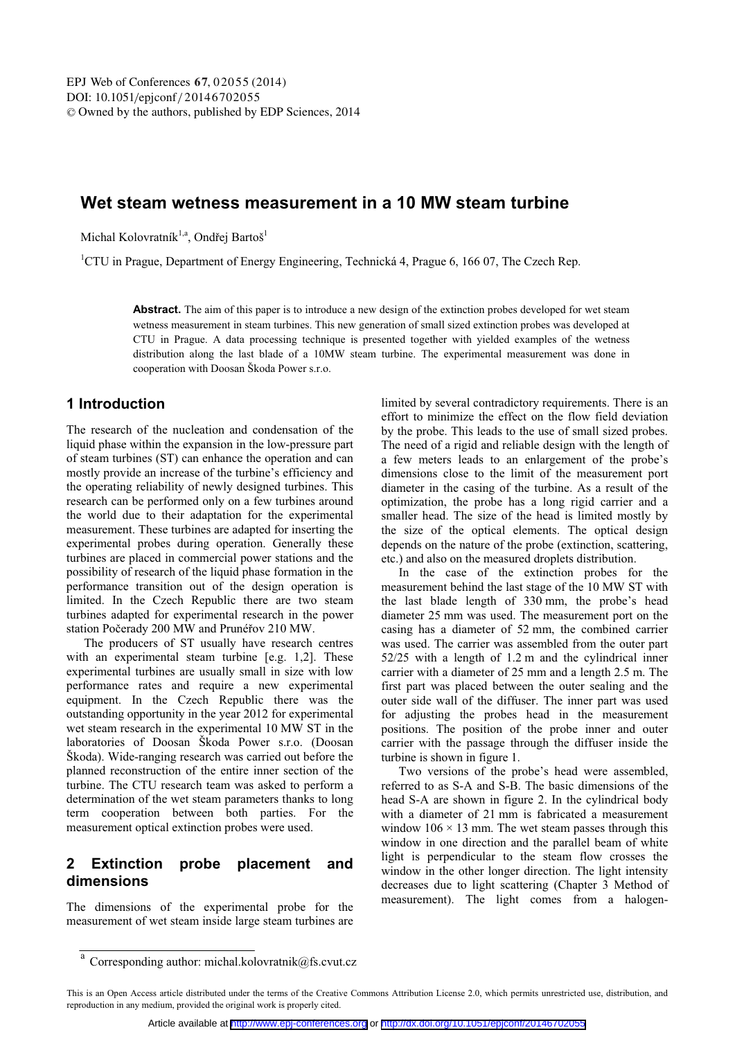# **Wet steam wetness measurement in a 10 MW steam turbine**

Michal Kolovratník<sup>1,a</sup>, Ondřej Bartoš<sup>1</sup>

<sup>1</sup>CTU in Prague, Department of Energy Engineering, Technická 4, Prague 6, 166 07, The Czech Rep.

Abstract. The aim of this paper is to introduce a new design of the extinction probes developed for wet steam wetness measurement in steam turbines. This new generation of small sized extinction probes was developed at CTU in Prague. A data processing technique is presented together with yielded examples of the wetness distribution along the last blade of a 10MW steam turbine. The experimental measurement was done in cooperation with Doosan Škoda Power s.r.o.

### **1 Introduction**

The research of the nucleation and condensation of the liquid phase within the expansion in the low-pressure part of steam turbines (ST) can enhance the operation and can mostly provide an increase of the turbine's efficiency and the operating reliability of newly designed turbines. This research can be performed only on a few turbines around the world due to their adaptation for the experimental measurement. These turbines are adapted for inserting the experimental probes during operation. Generally these turbines are placed in commercial power stations and the possibility of research of the liquid phase formation in the performance transition out of the design operation is limited. In the Czech Republic there are two steam turbines adapted for experimental research in the power station Počerady 200 MW and Prunéřov 210 MW.

The producers of ST usually have research centres with an experimental steam turbine [e.g. 1,2]. These experimental turbines are usually small in size with low performance rates and require a new experimental equipment. In the Czech Republic there was the outstanding opportunity in the year 2012 for experimental wet steam research in the experimental 10 MW ST in the laboratories of Doosan Škoda Power s.r.o. (Doosan Škoda). Wide-ranging research was carried out before the planned reconstruction of the entire inner section of the turbine. The CTU research team was asked to perform a determination of the wet steam parameters thanks to long term cooperation between both parties. For the measurement optical extinction probes were used.

## **2 Extinction probe placement and dimensions**

The dimensions of the experimental probe for the measurement of wet steam inside large steam turbines are limited by several contradictory requirements. There is an effort to minimize the effect on the flow field deviation by the probe. This leads to the use of small sized probes. The need of a rigid and reliable design with the length of a few meters leads to an enlargement of the probe's dimensions close to the limit of the measurement port diameter in the casing of the turbine. As a result of the optimization, the probe has a long rigid carrier and a smaller head. The size of the head is limited mostly by the size of the optical elements. The optical design depends on the nature of the probe (extinction, scattering, etc.) and also on the measured droplets distribution.

In the case of the extinction probes for the measurement behind the last stage of the 10 MW ST with the last blade length of 330 mm, the probe's head diameter 25 mm was used. The measurement port on the casing has a diameter of 52 mm, the combined carrier was used. The carrier was assembled from the outer part 52/25 with a length of 1.2 m and the cylindrical inner carrier with a diameter of 25 mm and a length 2.5 m. The first part was placed between the outer sealing and the outer side wall of the diffuser. The inner part was used for adjusting the probes head in the measurement positions. The position of the probe inner and outer carrier with the passage through the diffuser inside the turbine is shown in figure 1.

Two versions of the probe's head were assembled, referred to as S-A and S-B. The basic dimensions of the head S-A are shown in figure 2. In the cylindrical body with a diameter of 21 mm is fabricated a measurement window  $106 \times 13$  mm. The wet steam passes through this window in one direction and the parallel beam of white light is perpendicular to the steam flow crosses the window in the other longer direction. The light intensity decreases due to light scattering (Chapter 3 Method of measurement). The light comes from a halogen-

a Corresponding author: michal.kolovratnik@fs.cvut.cz

This is an Open Access article distributed under the terms of the Creative Commons Attribution License 2.0, which permits unrestricted use, distribution, and reproduction in any medium, provided the original work is properly cited.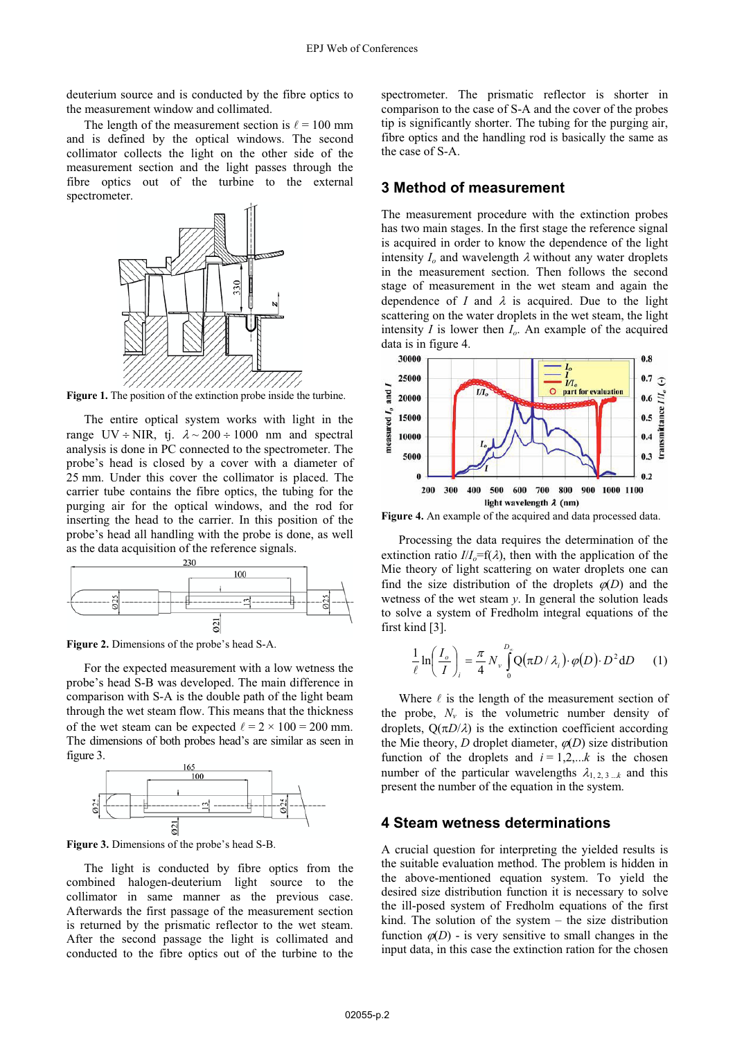deuterium source and is conducted by the fibre optics to the measurement window and collimated.

The length of the measurement section is  $\ell = 100$  mm and is defined by the optical windows. The second collimator collects the light on the other side of the measurement section and the light passes through the fibre optics out of the turbine to the external spectrometer.



**Figure 1.** The position of the extinction probe inside the turbine.

The entire optical system works with light in the range  $UV \div NIR$ , tj.  $\lambda \sim 200 \div 1000$  nm and spectral analysis is done in PC connected to the spectrometer. The probe's head is closed by a cover with a diameter of 25 mm. Under this cover the collimator is placed. The carrier tube contains the fibre optics, the tubing for the purging air for the optical windows, and the rod for inserting the head to the carrier. In this position of the probe's head all handling with the probe is done, as well as the data acquisition of the reference signals.



**Figure 2.** Dimensions of the probe's head S-A.

For the expected measurement with a low wetness the probe's head S-B was developed. The main difference in comparison with S-A is the double path of the light beam through the wet steam flow. This means that the thickness of the wet steam can be expected  $\ell = 2 \times 100 = 200$  mm. The dimensions of both probes head's are similar as seen in figure 3.



**Figure 3.** Dimensions of the probe's head S-B.

The light is conducted by fibre optics from the combined halogen-deuterium light source to the collimator in same manner as the previous case. Afterwards the first passage of the measurement section is returned by the prismatic reflector to the wet steam. After the second passage the light is collimated and conducted to the fibre optics out of the turbine to the

spectrometer. The prismatic reflector is shorter in comparison to the case of S-A and the cover of the probes tip is significantly shorter. The tubing for the purging air, fibre optics and the handling rod is basically the same as the case of S-A.

### **3 Method of measurement**

The measurement procedure with the extinction probes has two main stages. In the first stage the reference signal is acquired in order to know the dependence of the light intensity  $I_0$  and wavelength  $\lambda$  without any water droplets in the measurement section. Then follows the second stage of measurement in the wet steam and again the dependence of *I* and  $\lambda$  is acquired. Due to the light scattering on the water droplets in the wet steam, the light intensity *I* is lower then *Io*. An example of the acquired data is in figure 4.<br> $30000$ 



**Figure 4.** An example of the acquired and data processed data.

Processing the data requires the determination of the extinction ratio  $I/I<sub>o</sub>=f(\lambda)$ , then with the application of the Mie theory of light scattering on water droplets one can find the size distribution of the droplets  $\varphi(D)$  and the wetness of the wet steam *y*. In general the solution leads to solve a system of Fredholm integral equations of the first kind [3].

$$
\frac{1}{\ell} \ln \left( \frac{I_o}{I} \right)_i = \frac{\pi}{4} N_v \int_0^{D_{\rho}} Q(\pi D / \lambda_i) \cdot \varphi(D) \cdot D^2 dD \qquad (1)
$$

Where  $\ell$  is the length of the measurement section of the probe,  $N_v$  is the volumetric number density of droplets,  $Q(\pi D/\lambda)$  is the extinction coefficient according the Mie theory, *D* droplet diameter,  $\varphi$ (*D*) size distribution function of the droplets and  $i = 1,2,...k$  is the chosen number of the particular wavelengths  $\lambda_{1,2,3,\dots,k}$  and this present the number of the equation in the system.

#### **4 Steam wetness determinations**

A crucial question for interpreting the yielded results is the suitable evaluation method. The problem is hidden in the above-mentioned equation system. To yield the desired size distribution function it is necessary to solve the ill-posed system of Fredholm equations of the first kind. The solution of the system – the size distribution function  $\varphi(D)$  - is very sensitive to small changes in the input data, in this case the extinction ration for the chosen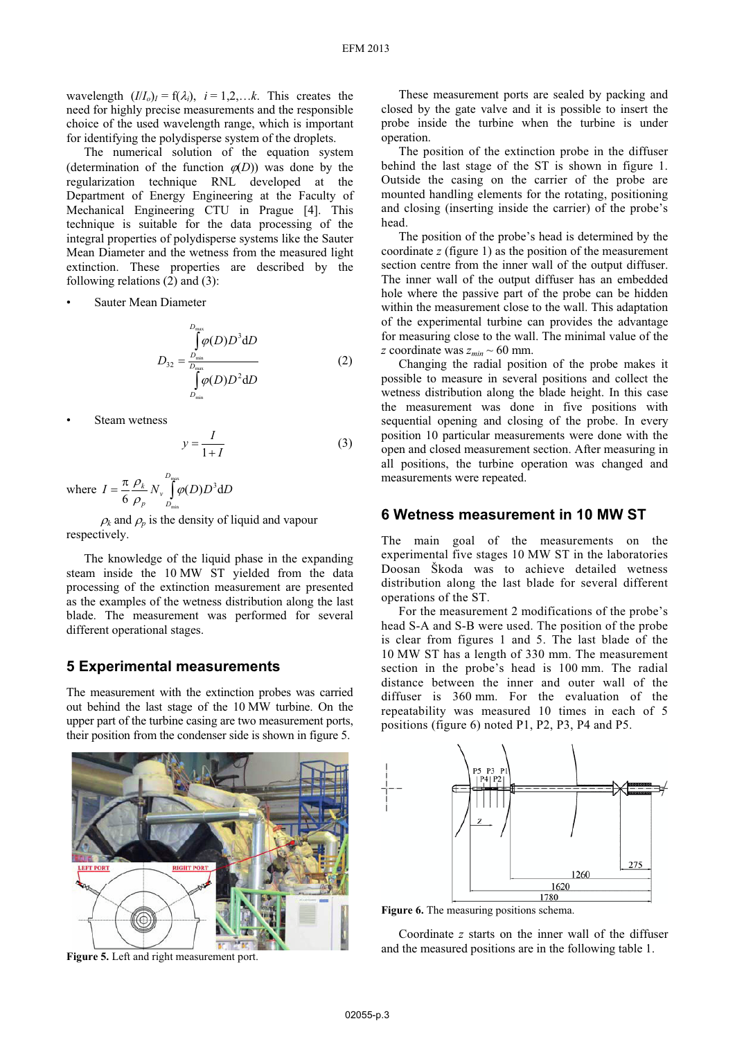wavelength  $(I/I_o)_I = f(\lambda_i)$ ,  $i = 1,2,...k$ . This creates the need for highly precise measurements and the responsible choice of the used wavelength range, which is important for identifying the polydisperse system of the droplets.

The numerical solution of the equation system (determination of the function  $\varphi(D)$ ) was done by the regularization technique RNL developed at the Department of Energy Engineering at the Faculty of Mechanical Engineering CTU in Prague [4]. This technique is suitable for the data processing of the integral properties of polydisperse systems like the Sauter Mean Diameter and the wetness from the measured light extinction. These properties are described by the following relations  $(2)$  and  $(3)$ :

Sauter Mean Diameter

$$
D_{32} = \frac{\int_{D_{\text{min}}^{D_{\text{max}}}}^{\text{D_{\text{max}}}} \varphi(D) D^3 \text{d}D}{\int_{D_{\text{min}}^{D_{\text{max}}}}^{\text{D_{\text{max}}}} \varphi(D) D^2 \text{d}D}
$$
(2)

Steam wetness

$$
y = \frac{I}{1+I} \tag{3}
$$

where  $I = \frac{\pi}{6} \frac{\rho_k}{r} N_v \frac{D_{\text{max}}}{r}$  $\frac{\pi}{6} \frac{\rho_{\scriptscriptstyle{k}}}{\rho_{\scriptscriptstyle{p}}} N_{\scriptscriptstyle{\nu}} \int\limits_{D_{\rm min}}^{D_{\rm max}} \!\!\!\! \varphi(D) D^3$ *D v p*  $I = \frac{\kappa}{6} \frac{P_k}{\rho_n} N_v \int\limits_{D} \varphi(D) D^3 dD$  $\rho$ 

 $\rho_k$  and  $\rho_p$  is the density of liquid and vapour respectively.

The knowledge of the liquid phase in the expanding steam inside the 10 MW ST yielded from the data processing of the extinction measurement are presented as the examples of the wetness distribution along the last blade. The measurement was performed for several different operational stages.

#### **5 Experimental measurements**

The measurement with the extinction probes was carried out behind the last stage of the 10 MW turbine. On the upper part of the turbine casing are two measurement ports, their position from the condenser side is shown in figure 5.



**Figure 5.** Left and right measurement port.

These measurement ports are sealed by packing and closed by the gate valve and it is possible to insert the probe inside the turbine when the turbine is under operation.

The position of the extinction probe in the diffuser behind the last stage of the ST is shown in figure 1. Outside the casing on the carrier of the probe are mounted handling elements for the rotating, positioning and closing (inserting inside the carrier) of the probe's head.

The position of the probe's head is determined by the coordinate *z* (figure 1) as the position of the measurement section centre from the inner wall of the output diffuser. The inner wall of the output diffuser has an embedded hole where the passive part of the probe can be hidden within the measurement close to the wall. This adaptation of the experimental turbine can provides the advantage for measuring close to the wall. The minimal value of the *z* coordinate was  $z_{min} \sim 60$  mm.

Changing the radial position of the probe makes it possible to measure in several positions and collect the wetness distribution along the blade height. In this case the measurement was done in five positions with sequential opening and closing of the probe. In every position 10 particular measurements were done with the open and closed measurement section. After measuring in all positions, the turbine operation was changed and measurements were repeated.

#### **6 Wetness measurement in 10 MW ST**

The main goal of the measurements on the experimental five stages 10 MW ST in the laboratories Doosan Škoda was to achieve detailed wetness distribution along the last blade for several different operations of the ST.

For the measurement 2 modifications of the probe's head S-A and S-B were used. The position of the probe is clear from figures 1 and 5. The last blade of the 10 MW ST has a length of 330 mm. The measurement section in the probe's head is 100 mm. The radial distance between the inner and outer wall of the diffuser is 360 mm. For the evaluation of the repeatability was measured 10 times in each of 5 positions (figure 6) noted P1, P2, P3, P4 and P5.



Figure 6. The measuring positions schema.

Coordinate *z* starts on the inner wall of the diffuser and the measured positions are in the following table 1.